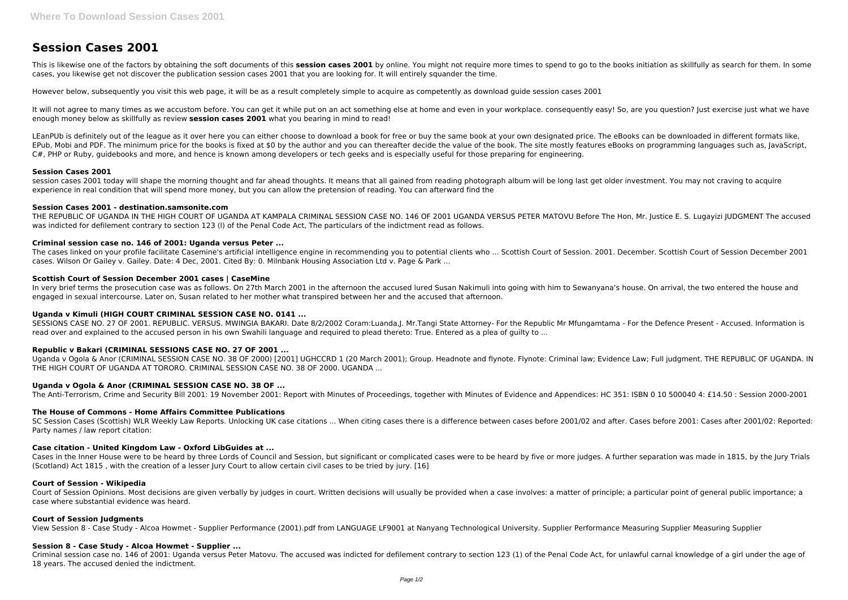# **Session Cases 2001**

This is likewise one of the factors by obtaining the soft documents of this session cases 2001 by online. You might not require more times to spend to go to the books initiation as skillfully as search for them. In some cases, you likewise get not discover the publication session cases 2001 that you are looking for. It will entirely squander the time.

It will not agree to many times as we accustom before. You can get it while put on an act something else at home and even in your workplace. consequently easy! So, are you question? Just exercise just what we have enough money below as skillfully as review **session cases 2001** what you bearing in mind to read!

However below, subsequently you visit this web page, it will be as a result completely simple to acquire as competently as download guide session cases 2001

LEanPUb is definitely out of the league as it over here you can either choose to download a book for free or buy the same book at your own designated price. The eBooks can be downloaded in different formats like, EPub. Mobi and PDF. The minimum price for the books is fixed at \$0 by the author and you can thereafter decide the value of the book. The site mostly features eBooks on programming languages such as, JavaScript, C#, PHP or Ruby, guidebooks and more, and hence is known among developers or tech geeks and is especially useful for those preparing for engineering.

session cases 2001 today will shape the morning thought and far ahead thoughts. It means that all gained from reading photograph album will be long last get older investment. You may not craving to acquire experience in real condition that will spend more money, but you can allow the pretension of reading. You can afterward find the

#### **Session Cases 2001**

In very brief terms the prosecution case was as follows. On 27th March 2001 in the afternoon the accused lured Susan Nakimuli into going with him to Sewanyana's house. On arrival, the two entered the house and engaged in sexual intercourse. Later on, Susan related to her mother what transpired between her and the accused that afternoon.

SESSIONS CASE NO. 27 OF 2001. REPUBLIC. VERSUS. MWINGIA BAKARI. Date 8/2/2002 Coram:Luanda,J. Mr.Tangi State Attorney- For the Republic Mr Mfungamtama - For the Defence Present - Accused. Information is read over and explained to the accused person in his own Swahili language and required to plead thereto: True. Entered as a plea of guilty to ...

#### **Session Cases 2001 - destination.samsonite.com**

THE REPUBLIC OF UGANDA IN THE HIGH COURT OF UGANDA AT KAMPALA CRIMINAL SESSION CASE NO. 146 OF 2001 UGANDA VERSUS PETER MATOVU Before The Hon, Mr. Justice E. S. Lugayizi JUDGMENT The accused was indicted for defilement contrary to section 123 (l) of the Penal Code Act, The particulars of the indictment read as follows.

SC Session Cases (Scottish) WLR Weekly Law Reports. Unlocking UK case citations ... When citing cases there is a difference between cases before 2001/02 and after. Cases before 2001: Cases after 2001/02: Reported: Party names / law report citation:

# **Criminal session case no. 146 of 2001: Uganda versus Peter ...**

The cases linked on your profile facilitate Casemine's artificial intelligence engine in recommending you to potential clients who ... Scottish Court of Session. 2001. December. Scottish Court of Session December 2001 cases. Wilson Or Gailey v. Gailey. Date: 4 Dec, 2001. Cited By: 0. Milnbank Housing Association Ltd v. Page & Park ...

Court of Session Opinions. Most decisions are given verbally by judges in court. Written decisions will usually be provided when a case involves: a matter of principle; a particular point of general public importance; a case where substantial evidence was heard.

# **Scottish Court of Session December 2001 cases | CaseMine**

#### **Uganda v Kimuli (HIGH COURT CRIMINAL SESSION CASE NO. 0141 ...**

# **Republic v Bakari (CRIMINAL SESSIONS CASE NO. 27 OF 2001 ...**

Uganda v Ogola & Anor (CRIMINAL SESSION CASE NO. 38 OF 2000) [2001] UGHCCRD 1 (20 March 2001); Group. Headnote and flynote. Flynote: Criminal law; Evidence Law; Full judgment. THE REPUBLIC OF UGANDA. IN THE HIGH COURT OF UGANDA AT TORORO. CRIMINAL SESSION CASE NO. 38 OF 2000. UGANDA ...

#### **Uganda v Ogola & Anor (CRIMINAL SESSION CASE NO. 38 OF ...**

The Anti-Terrorism, Crime and Security Bill 2001: 19 November 2001: Report with Minutes of Proceedings, together with Minutes of Evidence and Appendices: HC 351: ISBN 0 10 500040 4: £14.50 : Session 2000-2001

#### **The House of Commons - Home Affairs Committee Publications**

# **Case citation - United Kingdom Law - Oxford LibGuides at ...**

Cases in the Inner House were to be heard by three Lords of Council and Session, but significant or complicated cases were to be heard by five or more judges. A further separation was made in 1815, by the Jury Trials (Scotland) Act 1815 , with the creation of a lesser Jury Court to allow certain civil cases to be tried by jury. [16]

#### **Court of Session - Wikipedia**

#### **Court of Session Judgments**

View Session 8 - Case Study - Alcoa Howmet - Supplier Performance (2001).pdf from LANGUAGE LF9001 at Nanyang Technological University. Supplier Performance Measuring Supplier Measuring Supplier

#### **Session 8 - Case Study - Alcoa Howmet - Supplier ...**

Criminal session case no. 146 of 2001: Uganda versus Peter Matovu. The accused was indicted for defilement contrary to section 123 (1) of the Penal Code Act, for unlawful carnal knowledge of a girl under the age of 18 years. The accused denied the indictment.